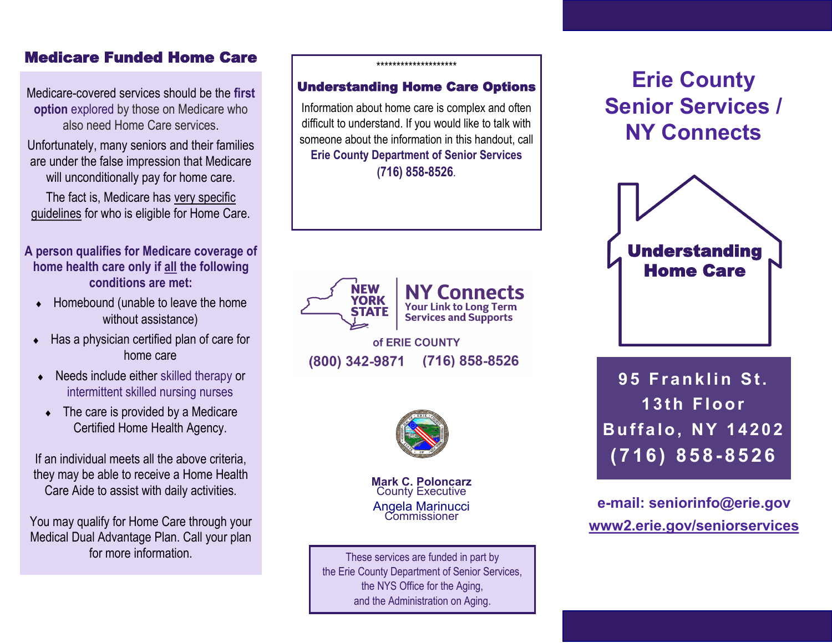## Medicare Funded Home Care

Medicare-covered services should be the **first option** explored by those on Medicare who also need Home Care services.

Unfortunately, many seniors and their families are under the false impression that Medicare will unconditionally pay for home care.

The fact is, Medicare has very specific guidelines for who is eligible for Home Care.

- **A person qualifies for Medicare coverage of home health care only if all the following conditions are met:**
	- $\leftarrow$  Homebound (unable to leave the home without assistance)
	- Has a physician certified plan of care for home care
	- ◆ Needs include either skilled therapy or intermittent skilled nursing nurses
	- The care is provided by a Medicare Certified Home Health Agency.

If an individual meets all the above criteria, they may be able to receive a Home Health Care Aide to assist with daily activities.

You may qualify for Home Care through your Medical Dual Advantage Plan. Call your plan for more information.

### \*\*\*\*\*\*\*\*\*\*\*\*\*\*\*\*\*\*\*\*

### Understanding Home Care Options

Information about home care is complex and often difficult to understand. If you would like to talk with someone about the information in this handout, call **Erie County Department of Senior Services (716) 858-8526**.



of ERIE COUNTY (800) 342-9871 (716) 858-8526



**Mark C. Poloncarz**  County Executive Angela Marinucci Commissioner

These services are funded in part by the Erie County Department of Senior Services, the NYS Office for the Aging, and the Administration on Aging.

# **Erie County Senior Services / NY Connects**



**Buffalo, NY 14202 ( 7 1 6 ) 8 5 8 - 8526**

**e-mail: seniorinfo@erie.gov www2.erie.gov/seniorservices**